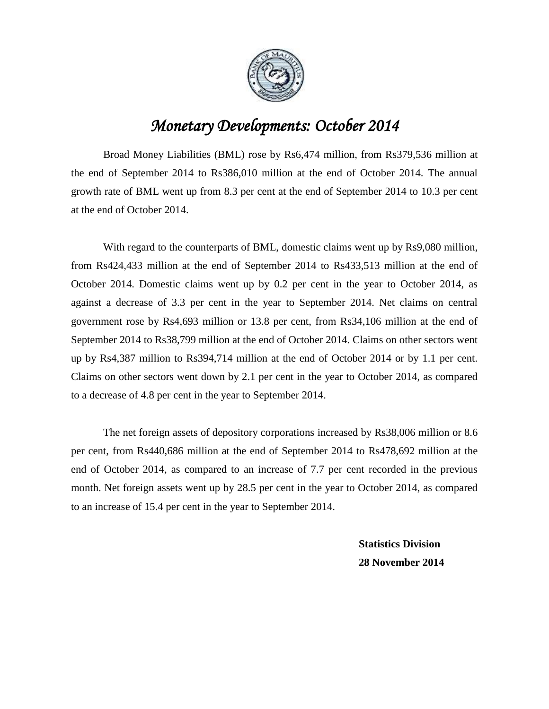

## *Monetary Developments: October 2014*

Broad Money Liabilities (BML) rose by Rs6,474 million, from Rs379,536 million at the end of September 2014 to Rs386,010 million at the end of October 2014. The annual growth rate of BML went up from 8.3 per cent at the end of September 2014 to 10.3 per cent at the end of October 2014.

With regard to the counterparts of BML, domestic claims went up by Rs9,080 million, from Rs424,433 million at the end of September 2014 to Rs433,513 million at the end of October 2014. Domestic claims went up by 0.2 per cent in the year to October 2014, as against a decrease of 3.3 per cent in the year to September 2014. Net claims on central government rose by Rs4,693 million or 13.8 per cent, from Rs34,106 million at the end of September 2014 to Rs38,799 million at the end of October 2014. Claims on other sectors went up by Rs4,387 million to Rs394,714 million at the end of October 2014 or by 1.1 per cent. Claims on other sectors went down by 2.1 per cent in the year to October 2014, as compared to a decrease of 4.8 per cent in the year to September 2014.

The net foreign assets of depository corporations increased by Rs38,006 million or 8.6 per cent, from Rs440,686 million at the end of September 2014 to Rs478,692 million at the end of October 2014, as compared to an increase of 7.7 per cent recorded in the previous month. Net foreign assets went up by 28.5 per cent in the year to October 2014, as compared to an increase of 15.4 per cent in the year to September 2014.

> **Statistics Division 28 November 2014**